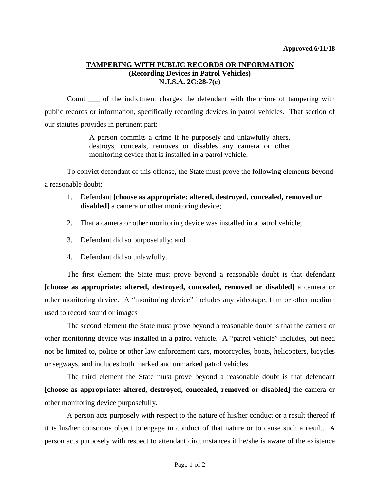## **TAMPERING WITH PUBLIC RECORDS OR INFORMATION (Recording Devices in Patrol Vehicles) N.J.S.A. 2C:28-7(c)**

Count \_\_\_ of the indictment charges the defendant with the crime of tampering with public records or information, specifically recording devices in patrol vehicles. That section of our statutes provides in pertinent part:

> A person commits a crime if he purposely and unlawfully alters, destroys, conceals, removes or disables any camera or other monitoring device that is installed in a patrol vehicle.

To convict defendant of this offense, the State must prove the following elements beyond a reasonable doubt:

- 1. Defendant **[choose as appropriate: altered, destroyed, concealed, removed or**  disabled] a camera or other monitoring device;
- 2. That a camera or other monitoring device was installed in a patrol vehicle;
- 3. Defendant did so purposefully; and
- 4. Defendant did so unlawfully.

The first element the State must prove beyond a reasonable doubt is that defendant **[choose as appropriate: altered, destroyed, concealed, removed or disabled]** a camera or other monitoring device. A "monitoring device" includes any videotape, film or other medium used to record sound or images

The second element the State must prove beyond a reasonable doubt is that the camera or other monitoring device was installed in a patrol vehicle. A "patrol vehicle" includes, but need not be limited to, police or other law enforcement cars, motorcycles, boats, helicopters, bicycles or segways, and includes both marked and unmarked patrol vehicles.

The third element the State must prove beyond a reasonable doubt is that defendant **[choose as appropriate: altered, destroyed, concealed, removed or disabled]** the camera or other monitoring device purposefully.

A person acts purposely with respect to the nature of his/her conduct or a result thereof if it is his/her conscious object to engage in conduct of that nature or to cause such a result. A person acts purposely with respect to attendant circumstances if he/she is aware of the existence